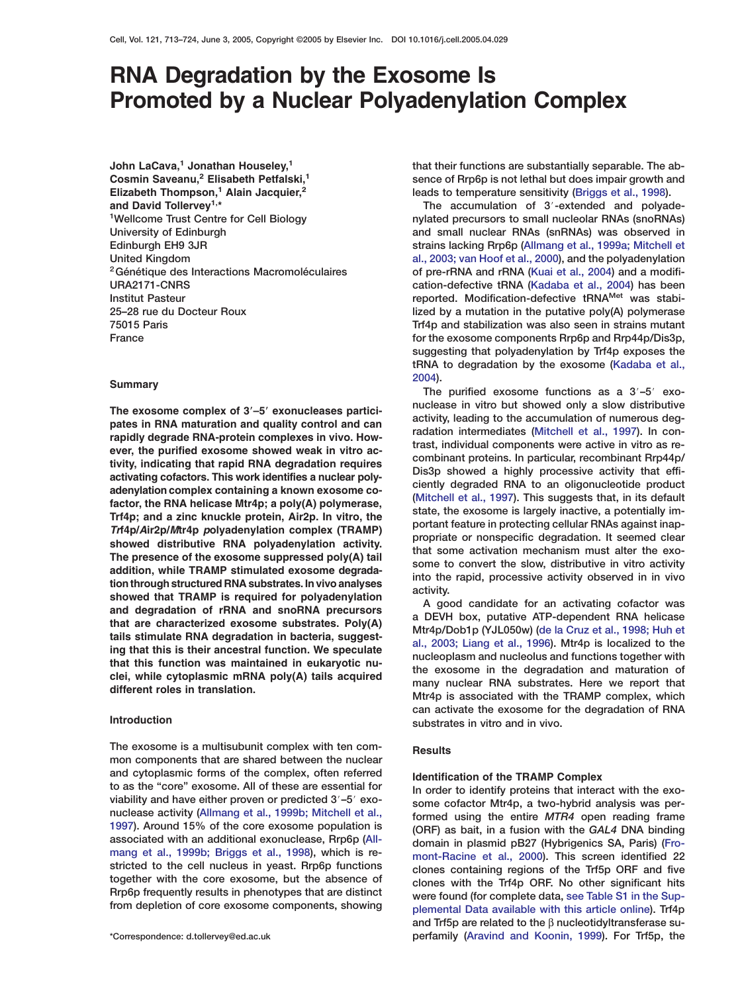# **RNA Degradation by the Exosome Is Promoted by a Nuclear Polyadenylation Complex**

**John LaCava,<sup>1</sup> Jonathan Houseley,<sup>1</sup> Cosmin Saveanu,<sup>2</sup> Elisabeth Petfalski,<sup>1</sup> Elizabeth Thompson,<sup>1</sup> Alain Jacquier,<sup>2</sup> and David Tollervey1,\* 1Wellcome Trust Centre for Cell Biology University of Edinburgh Edinburgh EH9 3JR United Kingdom 2Génétique des Interactions Macromoléculaires URA2171-CNRS Institut Pasteur 25–28 rue du Docteur Roux 75015 Paris France**

## **Summary**

The exosome complex of 3'-5' exonucleases partici**pates in RNA maturation and quality control and can rapidly degrade RNA-protein complexes in vivo. However, the purified exosome showed weak in vitro activity, indicating that rapid RNA degradation requires activating cofactors. This work identifies a nuclear polyadenylation complex containing a known exosome cofactor, the RNA helicase Mtr4p; a poly(A) polymerase, Trf4p; and a zinc knuckle protein, Air2p. In vitro, the** *Tr***f4p/***A***ir2p/***M***tr4p** *p***olyadenylation complex (TRAMP) showed distributive RNA polyadenylation activity. The presence of the exosome suppressed poly(A) tail addition, while TRAMP stimulated exosome degradation through structured RNA substrates. In vivo analyses showed that TRAMP is required for polyadenylation and degradation of rRNA and snoRNA precursors that are characterized exosome substrates. Poly(A) tails stimulate RNA degradation in bacteria, suggesting that this is their ancestral function. We speculate that this function was maintained in eukaryotic nuclei, while cytoplasmic mRNA poly(A) tails acquired different roles in translation.**

## **Introduction**

**The exosome is a multisubunit complex with ten common components that are shared between the nuclear and cytoplasmic forms of the complex, often referred to as the "core" exosome. All of these are essential for** viability and have either proven or predicted  $3'$ -5' exo**nuclease activity [\(Allmang et al., 1999b; Mitchell et al.,](#page-10-0) [1997](#page-10-0)). Around 15% of the core exosome population is associated with an additional exonuclease, Rrp6p [\(All](#page-10-0)[mang et al., 1999b; Briggs et al., 1998\)](#page-10-0), which is restricted to the cell nucleus in yeast. Rrp6p functions together with the core exosome, but the absence of Rrp6p frequently results in phenotypes that are distinct from depletion of core exosome components, showing**

**that their functions are substantially separable. The absence of Rrp6p is not lethal but does impair growth and leads to temperature sensitivity [\(Briggs et al., 1998\)](#page-10-0).**

The accumulation of 3'-extended and polyade**nylated precursors to small nucleolar RNAs (snoRNAs) and small nuclear RNAs (snRNAs) was observed in strains lacking Rrp6p [\(Allmang et al., 1999a; Mitchell et](#page-10-0) [al., 2003; van Hoof et al., 2000\)](#page-10-0), and the polyadenylation of pre-rRNA and rRNA [\(Kuai et al., 2004](#page-11-0)) and a modification-defective tRNA [\(Kadaba et al., 2004](#page-11-0)) has been reported. Modification-defective tRNAMet was stabilized by a mutation in the putative poly(A) polymerase Trf4p and stabilization was also seen in strains mutant for the exosome components Rrp6p and Rrp44p/Dis3p, suggesting that polyadenylation by Trf4p exposes the tRNA to degradation by the exosome [\(Kadaba et al.,](#page-11-0) [2004](#page-11-0)).**

The purified exosome functions as a  $3'$ -5' exo**nuclease in vitro but showed only a slow distributive activity, leading to the accumulation of numerous degradation intermediates [\(Mitchell et al., 1997](#page-11-0)). In contrast, individual components were active in vitro as recombinant proteins. In particular, recombinant Rrp44p/ Dis3p showed a highly processive activity that efficiently degraded RNA to an oligonucleotide product [\(Mitchell et al., 1997\)](#page-11-0). This suggests that, in its default state, the exosome is largely inactive, a potentially important feature in protecting cellular RNAs against inappropriate or nonspecific degradation. It seemed clear that some activation mechanism must alter the exosome to convert the slow, distributive in vitro activity into the rapid, processive activity observed in in vivo activity.**

**A good candidate for an activating cofactor was a DEVH box, putative ATP-dependent RNA helicase Mtr4p/Dob1p (YJL050w) [\(de la Cruz et al., 1998; Huh et](#page-10-0) [al., 2003; Liang et al., 1996\)](#page-10-0). Mtr4p is localized to the nucleoplasm and nucleolus and functions together with the exosome in the degradation and maturation of many nuclear RNA substrates. Here we report that Mtr4p is associated with the TRAMP complex, which can activate the exosome for the degradation of RNA substrates in vitro and in vivo.**

## **Results**

## **Identification of the TRAMP Complex**

**In order to identify proteins that interact with the exosome cofactor Mtr4p, a two-hybrid analysis was performed using the entire** *MTR4* **open reading frame (ORF) as bait, in a fusion with the** *GAL4* **DNA binding domain in plasmid pB27 (Hybrigenics SA, Paris) [\(Fro](#page-11-0)[mont-Racine et al., 2000\)](#page-11-0). This screen identified 22 clones containing regions of the Trf5p ORF and five clones with the Trf4p ORF. No other significant hits were found (for complete data, see Table S1 in the Supplemental Data available with this article online). Trf4p and Trf5p are related to the** β **nucleotidyltransferase superfamily [\(Aravind and Koonin, 1999\)](#page-10-0). For Trf5p, the**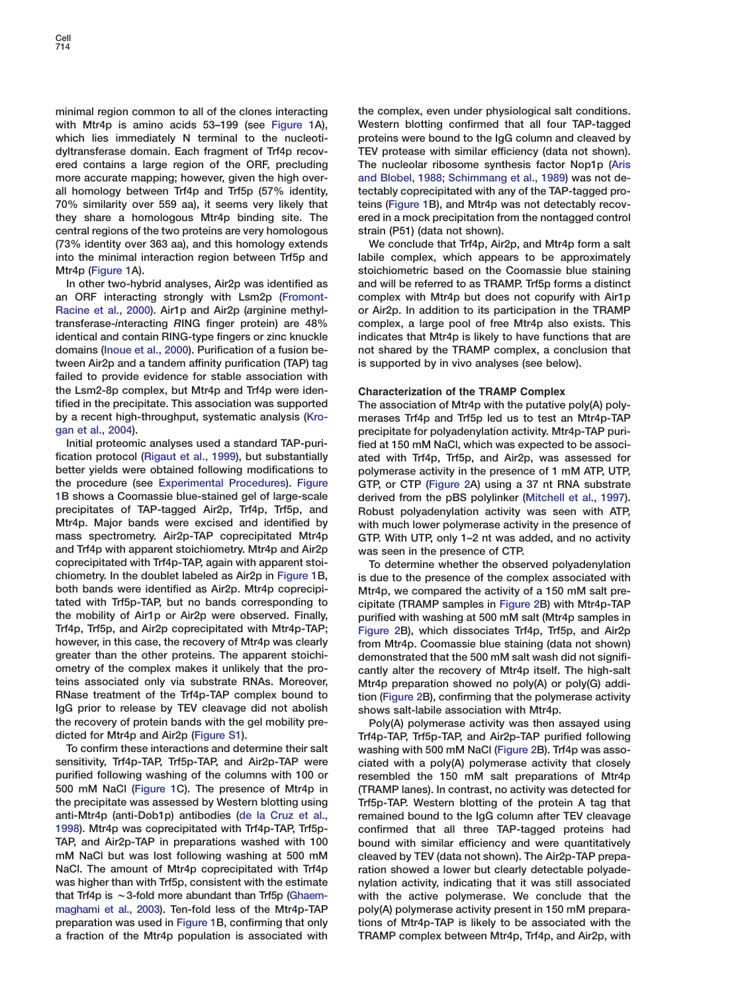**minimal region common to all of the clones interacting with Mtr4p is amino acids 53–199 (see [Figure 1A](#page-2-0)), which lies immediately N terminal to the nucleotidyltransferase domain. Each fragment of Trf4p recovered contains a large region of the ORF, precluding more accurate mapping; however, given the high overall homology between Trf4p and Trf5p (57% identity, 70% similarity over 559 aa), it seems very likely that they share a homologous Mtr4p binding site. The central regions of the two proteins are very homologous (73% identity over 363 aa), and this homology extends into the minimal interaction region between Trf5p and Mtr4p [\(Figure 1A](#page-2-0)).**

**In other two-hybrid analyses, Air2p was identified as an ORF interacting strongly with Lsm2p [\(Fromont-](#page-11-0)[Racine et al., 2000\)](#page-11-0). Air1p and Air2p (***a***rginine methyltransferase-***i***nteracting** *R***ING finger protein) are 48% identical and contain RING-type fingers or zinc knuckle domains [\(Inoue et al., 2000\)](#page-11-0). Purification of a fusion between Air2p and a tandem affinity purification (TAP) tag failed to provide evidence for stable association with the Lsm2-8p complex, but Mtr4p and Trf4p were identified in the precipitate. This association was supported by a recent high-throughput, systematic analysis [\(Kro](#page-11-0)[gan et al., 2004](#page-11-0)).**

**Initial proteomic analyses used a standard TAP-purification protocol [\(Rigaut et al., 1999\)](#page-11-0), but substantially better yields were obtained following modifications to the procedure (see Experimental Procedures). [Figure](#page-2-0) [1B](#page-2-0) shows a Coomassie blue-stained gel of large-scale precipitates of TAP-tagged Air2p, Trf4p, Trf5p, and Mtr4p. Major bands were excised and identified by mass spectrometry. Air2p-TAP coprecipitated Mtr4p and Trf4p with apparent stoichiometry. Mtr4p and Air2p coprecipitated with Trf4p-TAP, again with apparent stoichiometry. In the doublet labeled as Air2p in [Figure 1B](#page-2-0), both bands were identified as Air2p. Mtr4p coprecipitated with Trf5p-TAP, but no bands corresponding to the mobility of Air1p or Air2p were observed. Finally, Trf4p, Trf5p, and Air2p coprecipitated with Mtr4p-TAP; however, in this case, the recovery of Mtr4p was clearly greater than the other proteins. The apparent stoichiometry of the complex makes it unlikely that the proteins associated only via substrate RNAs. Moreover, RNase treatment of the Trf4p-TAP complex bound to IgG prior to release by TEV cleavage did not abolish the recovery of protein bands with the gel mobility predicted for Mtr4p and Air2p (Figure S1).**

**To confirm these interactions and determine their salt sensitivity, Trf4p-TAP, Trf5p-TAP, and Air2p-TAP were purified following washing of the columns with 100 or 500 mM NaCl [\(Figure 1](#page-2-0)C). The presence of Mtr4p in the precipitate was assessed by Western blotting using anti-Mtr4p (anti-Dob1p) antibodies [\(de la Cruz et al.,](#page-10-0) [1998\)](#page-10-0). Mtr4p was coprecipitated with Trf4p-TAP, Trf5p-TAP, and Air2p-TAP in preparations washed with 100 mM NaCl but was lost following washing at 500 mM NaCl. The amount of Mtr4p coprecipitated with Trf4p was higher than with Trf5p, consistent with the estimate that Trf4p is** w**3-fold more abundant than Trf5p [\(Ghaem](#page-11-0)[maghami et al., 2003\)](#page-11-0). Ten-fold less of the Mtr4p-TAP preparation was used in [Figure 1B](#page-2-0), confirming that only a fraction of the Mtr4p population is associated with** **the complex, even under physiological salt conditions. Western blotting confirmed that all four TAP-tagged proteins were bound to the IgG column and cleaved by TEV protease with similar efficiency (data not shown). The nucleolar ribosome synthesis factor Nop1p [\(Aris](#page-10-0) [and Blobel, 1988; Schimmang et al., 1989\)](#page-10-0) was not detectably coprecipitated with any of the TAP-tagged proteins [\(Figure 1](#page-2-0)B), and Mtr4p was not detectably recovered in a mock precipitation from the nontagged control strain (P51) (data not shown).**

**We conclude that Trf4p, Air2p, and Mtr4p form a salt labile complex, which appears to be approximately stoichiometric based on the Coomassie blue staining and will be referred to as TRAMP. Trf5p forms a distinct complex with Mtr4p but does not copurify with Air1p or Air2p. In addition to its participation in the TRAMP complex, a large pool of free Mtr4p also exists. This indicates that Mtr4p is likely to have functions that are not shared by the TRAMP complex, a conclusion that is supported by in vivo analyses (see below).**

## **Characterization of the TRAMP Complex**

**The association of Mtr4p with the putative poly(A) polymerases Trf4p and Trf5p led us to test an Mtr4p-TAP precipitate for polyadenylation activity. Mtr4p-TAP purified at 150 mM NaCl, which was expected to be associated with Trf4p, Trf5p, and Air2p, was assessed for polymerase activity in the presence of 1 mM ATP, UTP, GTP, or CTP [\(Figure 2A](#page-3-0)) using a 37 nt RNA substrate derived from the pBS polylinker [\(Mitchell et al., 1997\)](#page-11-0). Robust polyadenylation activity was seen with ATP, with much lower polymerase activity in the presence of GTP. With UTP, only 1–2 nt was added, and no activity was seen in the presence of CTP.**

**To determine whether the observed polyadenylation is due to the presence of the complex associated with Mtr4p, we compared the activity of a 150 mM salt precipitate (TRAMP samples in [Figure 2B](#page-3-0)) with Mtr4p-TAP purified with washing at 500 mM salt (Mtr4p samples in [Figure 2B](#page-3-0)), which dissociates Trf4p, Trf5p, and Air2p from Mtr4p. Coomassie blue staining (data not shown) demonstrated that the 500 mM salt wash did not significantly alter the recovery of Mtr4p itself. The high-salt Mtr4p preparation showed no poly(A) or poly(G) addition [\(Figure 2](#page-3-0)B), confirming that the polymerase activity shows salt-labile association with Mtr4p.**

**Poly(A) polymerase activity was then assayed using Trf4p-TAP, Trf5p-TAP, and Air2p-TAP purified following washing with 500 mM NaCl [\(Figure 2B](#page-3-0)). Trf4p was associated with a poly(A) polymerase activity that closely resembled the 150 mM salt preparations of Mtr4p (TRAMP lanes). In contrast, no activity was detected for Trf5p-TAP. Western blotting of the protein A tag that remained bound to the IgG column after TEV cleavage confirmed that all three TAP-tagged proteins had bound with similar efficiency and were quantitatively cleaved by TEV (data not shown). The Air2p-TAP preparation showed a lower but clearly detectable polyadenylation activity, indicating that it was still associated with the active polymerase. We conclude that the poly(A) polymerase activity present in 150 mM preparations of Mtr4p-TAP is likely to be associated with the TRAMP complex between Mtr4p, Trf4p, and Air2p, with**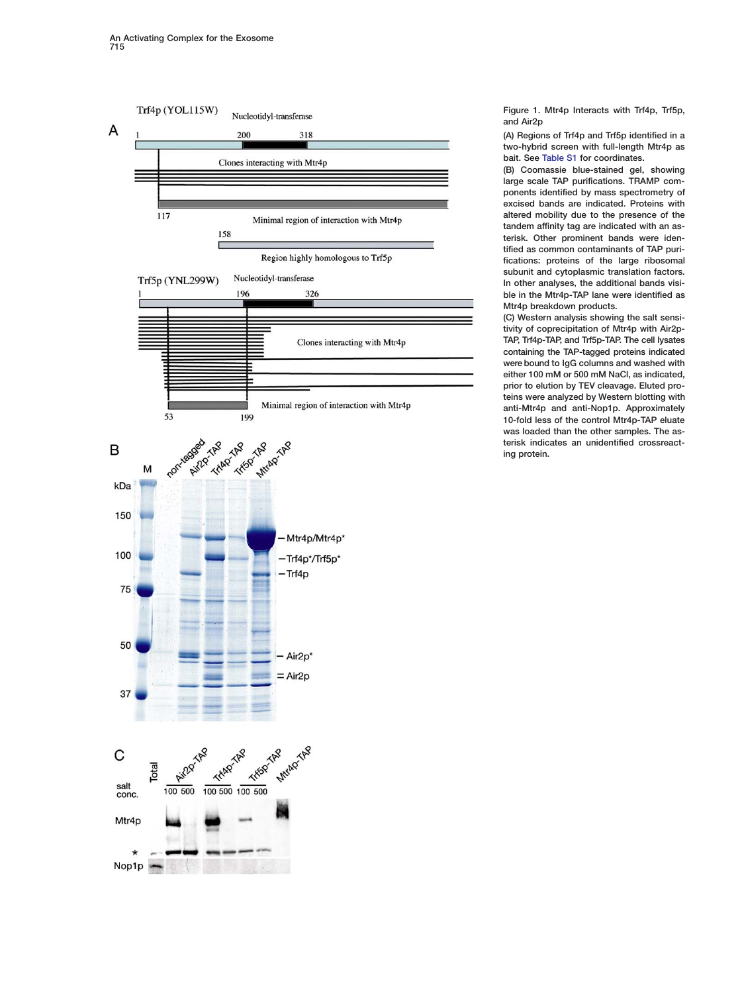<span id="page-2-0"></span>

**Figure 1. Mtr4p Interacts with Trf4p, Trf5p, and Air2p**

**(A) Regions of Trf4p and Trf5p identified in a two-hybrid screen with full-length Mtr4p as bait. See [Table S1](#page-10-0) for coordinates.**

**(B) Coomassie blue-stained gel, showing large scale TAP purifications. TRAMP components identified by mass spectrometry of excised bands are indicated. Proteins with altered mobility due to the presence of the tandem affinity tag are indicated with an asterisk. Other prominent bands were identified as common contaminants of TAP purifications: proteins of the large ribosomal subunit and cytoplasmic translation factors. In other analyses, the additional bands visible in the Mtr4p-TAP lane were identified as Mtr4p breakdown products.**

**(C) Western analysis showing the salt sensitivity of coprecipitation of Mtr4p with Air2p-TAP, Trf4p-TAP, and Trf5p-TAP. The cell lysates containing the TAP-tagged proteins indicated were bound to IgG columns and washed with either 100 mM or 500 mM NaCl, as indicated, prior to elution by TEV cleavage. Eluted proteins were analyzed by Western blotting with anti-Mtr4p and anti-Nop1p. Approximately 10-fold less of the control Mtr4p-TAP eluate was loaded than the other samples. The asterisk indicates an unidentified crossreacting protein.**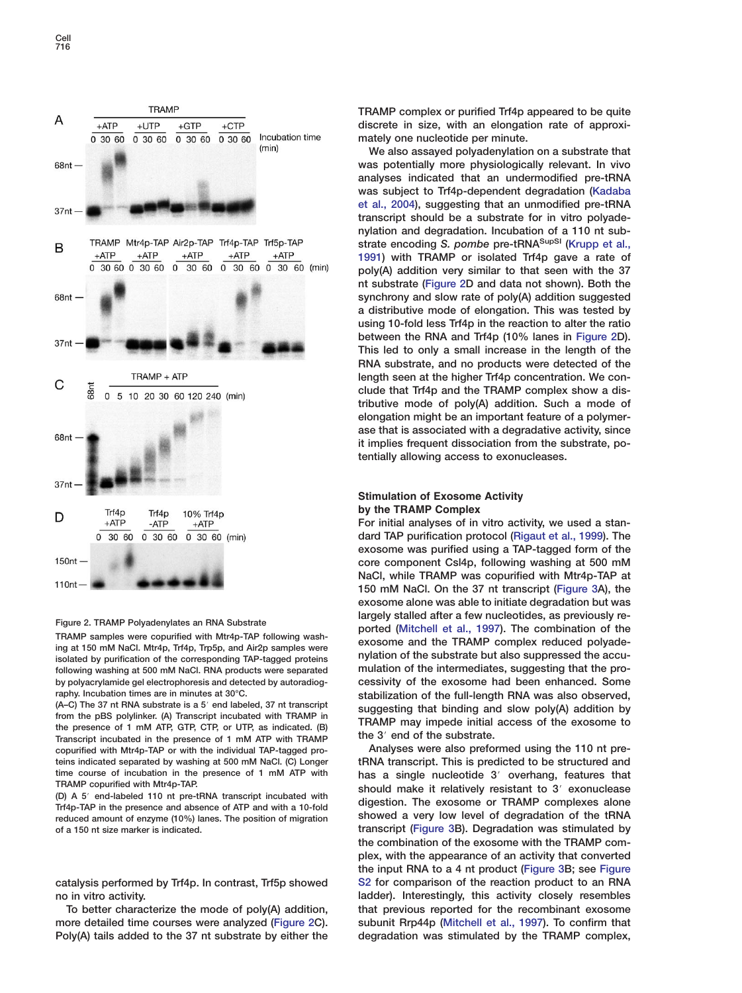<span id="page-3-0"></span>

# **Figure 2. TRAMP Polyadenylates an RNA Substrate**

**TRAMP samples were copurified with Mtr4p-TAP following washing at 150 mM NaCl. Mtr4p, Trf4p, Trp5p, and Air2p samples were isolated by purification of the corresponding TAP-tagged proteins following washing at 500 mM NaCl. RNA products were separated by polyacrylamide gel electrophoresis and detected by autoradiography. Incubation times are in minutes at 30°C.**

**(A–C) The 37 nt RNA substrate is a 5**# **end labeled, 37 nt transcript from the pBS polylinker. (A) Transcript incubated with TRAMP in the presence of 1 mM ATP, GTP, CTP, or UTP, as indicated. (B) Transcript incubated in the presence of 1 mM ATP with TRAMP copurified with Mtr4p-TAP or with the individual TAP-tagged proteins indicated separated by washing at 500 mM NaCl. (C) Longer time course of incubation in the presence of 1 mM ATP with TRAMP copurified with Mtr4p-TAP.**

**(D) A 5**# **end-labeled 110 nt pre-tRNA transcript incubated with Trf4p-TAP in the presence and absence of ATP and with a 10-fold reduced amount of enzyme (10%) lanes. The position of migration of a 150 nt size marker is indicated.**

**catalysis performed by Trf4p. In contrast, Trf5p showed no in vitro activity.**

**To better characterize the mode of poly(A) addition, more detailed time courses were analyzed (Figure 2C). Poly(A) tails added to the 37 nt substrate by either the** **TRAMP complex or purified Trf4p appeared to be quite discrete in size, with an elongation rate of approximately one nucleotide per minute.**

**We also assayed polyadenylation on a substrate that was potentially more physiologically relevant. In vivo analyses indicated that an undermodified pre-tRNA was subject to Trf4p-dependent degradation [\(Kadaba](#page-11-0) [et al., 2004](#page-11-0)), suggesting that an unmodified pre-tRNA transcript should be a substrate for in vitro polyadenylation and degradation. Incubation of a 110 nt substrate encoding** *S. pombe* **pre-tRNASupSI [\(Krupp et al.,](#page-11-0) [1991](#page-11-0)) with TRAMP or isolated Trf4p gave a rate of poly(A) addition very similar to that seen with the 37 nt substrate (Figure 2D and data not shown). Both the synchrony and slow rate of poly(A) addition suggested a distributive mode of elongation. This was tested by using 10-fold less Trf4p in the reaction to alter the ratio between the RNA and Trf4p (10% lanes in Figure 2D). This led to only a small increase in the length of the RNA substrate, and no products were detected of the length seen at the higher Trf4p concentration. We conclude that Trf4p and the TRAMP complex show a distributive mode of poly(A) addition. Such a mode of elongation might be an important feature of a polymerase that is associated with a degradative activity, since it implies frequent dissociation from the substrate, potentially allowing access to exonucleases.**

# **Stimulation of Exosome Activity by the TRAMP Complex**

**For initial analyses of in vitro activity, we used a standard TAP purification protocol [\(Rigaut et al., 1999\)](#page-11-0). The exosome was purified using a TAP-tagged form of the core component Csl4p, following washing at 500 mM NaCl, while TRAMP was copurified with Mtr4p-TAP at 150 mM NaCl. On the 37 nt transcript [\(Figure 3A](#page-4-0)), the exosome alone was able to initiate degradation but was largely stalled after a few nucleotides, as previously reported [\(Mitchell et al., 1997\)](#page-11-0). The combination of the exosome and the TRAMP complex reduced polyadenylation of the substrate but also suppressed the accumulation of the intermediates, suggesting that the processivity of the exosome had been enhanced. Some stabilization of the full-length RNA was also observed, suggesting that binding and slow poly(A) addition by TRAMP may impede initial access of the exosome to** the 3<sup>'</sup> end of the substrate.

**Analyses were also preformed using the 110 nt pretRNA transcript. This is predicted to be structured and has a single nucleotide 3**# **overhang, features that should make it relatively resistant to 3**# **exonuclease digestion. The exosome or TRAMP complexes alone showed a very low level of degradation of the tRNA transcript [\(Figure 3B](#page-4-0)). Degradation was stimulated by the combination of the exosome with the TRAMP complex, with the appearance of an activity that converted the input RNA to a 4 nt product [\(Figure 3B](#page-4-0); see Figure S2 for comparison of the reaction product to an RNA ladder). Interestingly, this activity closely resembles that previous reported for the recombinant exosome subunit Rrp44p [\(Mitchell et al., 1997\)](#page-11-0). To confirm that degradation was stimulated by the TRAMP complex,**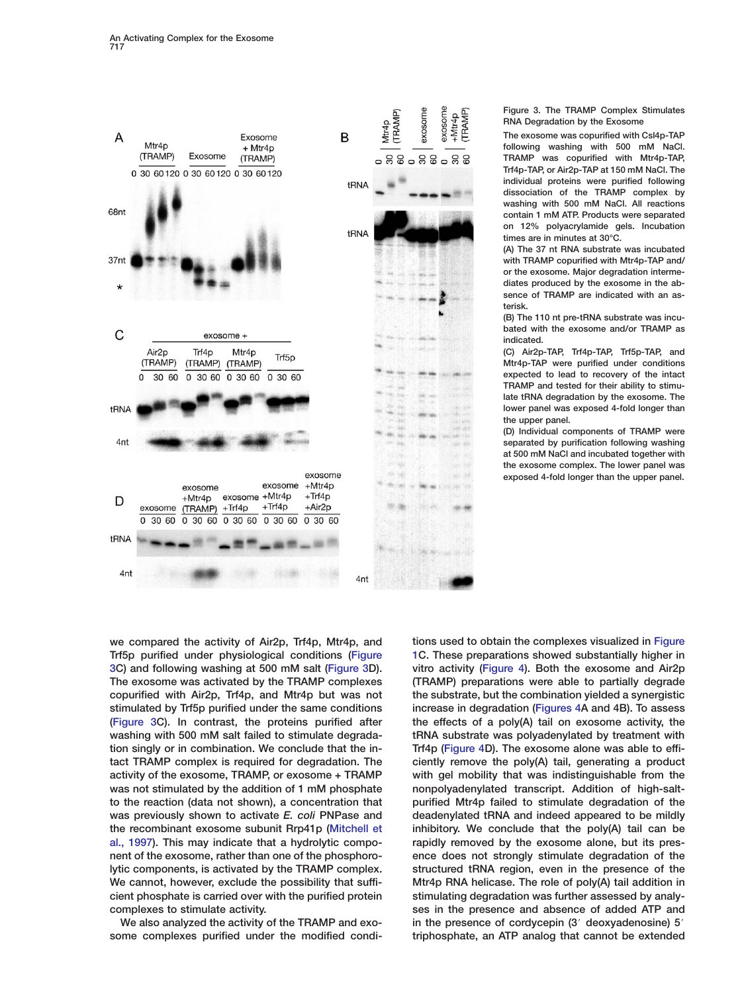<span id="page-4-0"></span>

**Figure 3. The TRAMP Complex Stimulates RNA Degradation by the Exosome**

**The exosome was copurified with Csl4p-TAP following washing with 500 mM NaCl. TRAMP was copurified with Mtr4p-TAP, Trf4p-TAP, or Air2p-TAP at 150 mM NaCl. The individual proteins were purified following dissociation of the TRAMP complex by washing with 500 mM NaCl. All reactions contain 1 mM ATP. Products were separated on 12% polyacrylamide gels. Incubation times are in minutes at 30°C.**

**(A) The 37 nt RNA substrate was incubated with TRAMP copurified with Mtr4p-TAP and/ or the exosome. Major degradation intermediates produced by the exosome in the absence of TRAMP are indicated with an asterisk.**

**(B) The 110 nt pre-tRNA substrate was incubated with the exosome and/or TRAMP as indicated.**

**(C) Air2p-TAP, Trf4p-TAP, Trf5p-TAP, and Mtr4p-TAP were purified under conditions expected to lead to recovery of the intact TRAMP and tested for their ability to stimulate tRNA degradation by the exosome. The lower panel was exposed 4-fold longer than the upper panel.**

**(D) Individual components of TRAMP were separated by purification following washing at 500 mM NaCl and incubated together with the exosome complex. The lower panel was exposed 4-fold longer than the upper panel.**

**we compared the activity of Air2p, Trf4p, Mtr4p, and Trf5p purified under physiological conditions (Figure 3C) and following washing at 500 mM salt (Figure 3D). The exosome was activated by the TRAMP complexes copurified with Air2p, Trf4p, and Mtr4p but was not stimulated by Trf5p purified under the same conditions (Figure 3C). In contrast, the proteins purified after washing with 500 mM salt failed to stimulate degradation singly or in combination. We conclude that the intact TRAMP complex is required for degradation. The activity of the exosome, TRAMP, or exosome + TRAMP was not stimulated by the addition of 1 mM phosphate to the reaction (data not shown), a concentration that was previously shown to activate** *E. coli* **PNPase and the recombinant exosome subunit Rrp41p [\(Mitchell et](#page-11-0) [al., 1997](#page-11-0)). This may indicate that a hydrolytic component of the exosome, rather than one of the phosphorolytic components, is activated by the TRAMP complex. We cannot, however, exclude the possibility that sufficient phosphate is carried over with the purified protein complexes to stimulate activity.**

**We also analyzed the activity of the TRAMP and exosome complexes purified under the modified condi-** **tions used to obtain the complexes visualized in [Figure](#page-2-0) [1C](#page-2-0). These preparations showed substantially higher in vitro activity [\(Figure 4\)](#page-5-0). Both the exosome and Air2p (TRAMP) preparations were able to partially degrade the substrate, but the combination yielded a synergistic increase in degradation [\(Figures 4A](#page-5-0) and 4B). To assess the effects of a poly(A) tail on exosome activity, the tRNA substrate was polyadenylated by treatment with Trf4p [\(Figure 4D](#page-5-0)). The exosome alone was able to efficiently remove the poly(A) tail, generating a product with gel mobility that was indistinguishable from the nonpolyadenylated transcript. Addition of high-saltpurified Mtr4p failed to stimulate degradation of the deadenylated tRNA and indeed appeared to be mildly inhibitory. We conclude that the poly(A) tail can be rapidly removed by the exosome alone, but its presence does not strongly stimulate degradation of the structured tRNA region, even in the presence of the Mtr4p RNA helicase. The role of poly(A) tail addition in stimulating degradation was further assessed by analyses in the presence and absence of added ATP and** in the presence of cordycepin (3<sup>'</sup> deoxyadenosine) 5<sup>'</sup> **triphosphate, an ATP analog that cannot be extended**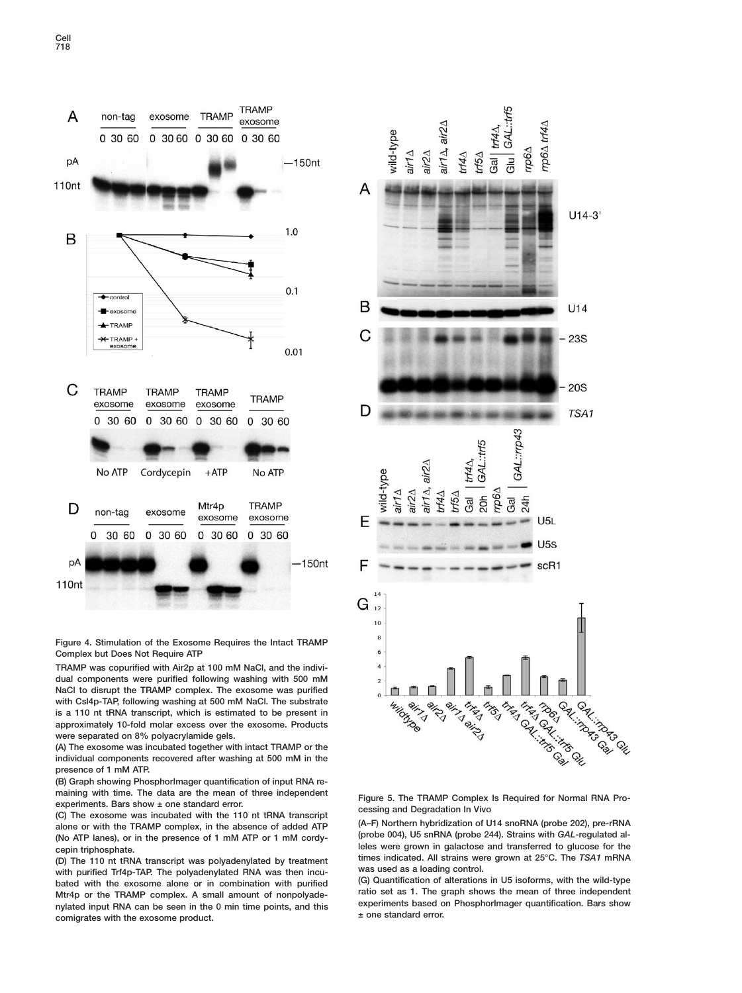<span id="page-5-0"></span>



**TRAMP was copurified with Air2p at 100 mM NaCl, and the individual components were purified following washing with 500 mM NaCl to disrupt the TRAMP complex. The exosome was purified with Csl4p-TAP, following washing at 500 mM NaCl. The substrate is a 110 nt tRNA transcript, which is estimated to be present in approximately 10-fold molar excess over the exosome. Products were separated on 8% polyacrylamide gels.**

**(A) The exosome was incubated together with intact TRAMP or the individual components recovered after washing at 500 mM in the presence of 1 mM ATP.**

**(B) Graph showing PhosphorImager quantification of input RNA remaining with time. The data are the mean of three independent experiments. Bars show ± one standard error.**

**(C) The exosome was incubated with the 110 nt tRNA transcript alone or with the TRAMP complex, in the absence of added ATP (No ATP lanes), or in the presence of 1 mM ATP or 1 mM cordycepin triphosphate.**

**(D) The 110 nt tRNA transcript was polyadenylated by treatment with purified Trf4p-TAP. The polyadenylated RNA was then incubated with the exosome alone or in combination with purified Mtr4p or the TRAMP complex. A small amount of nonpolyadenylated input RNA can be seen in the 0 min time points, and this comigrates with the exosome product.**



**Figure 5. The TRAMP Complex Is Required for Normal RNA Processing and Degradation In Vivo**

**(A–F) Northern hybridization of U14 snoRNA (probe 202), pre-rRNA (probe 004), U5 snRNA (probe 244). Strains with** *GAL***-regulated alleles were grown in galactose and transferred to glucose for the times indicated. All strains were grown at 25°C. The** *TSA1* **mRNA was used as a loading control.**

**(G) Quantification of alterations in U5 isoforms, with the wild-type ratio set as 1. The graph shows the mean of three independent experiments based on PhosphorImager quantification. Bars show ± one standard error.**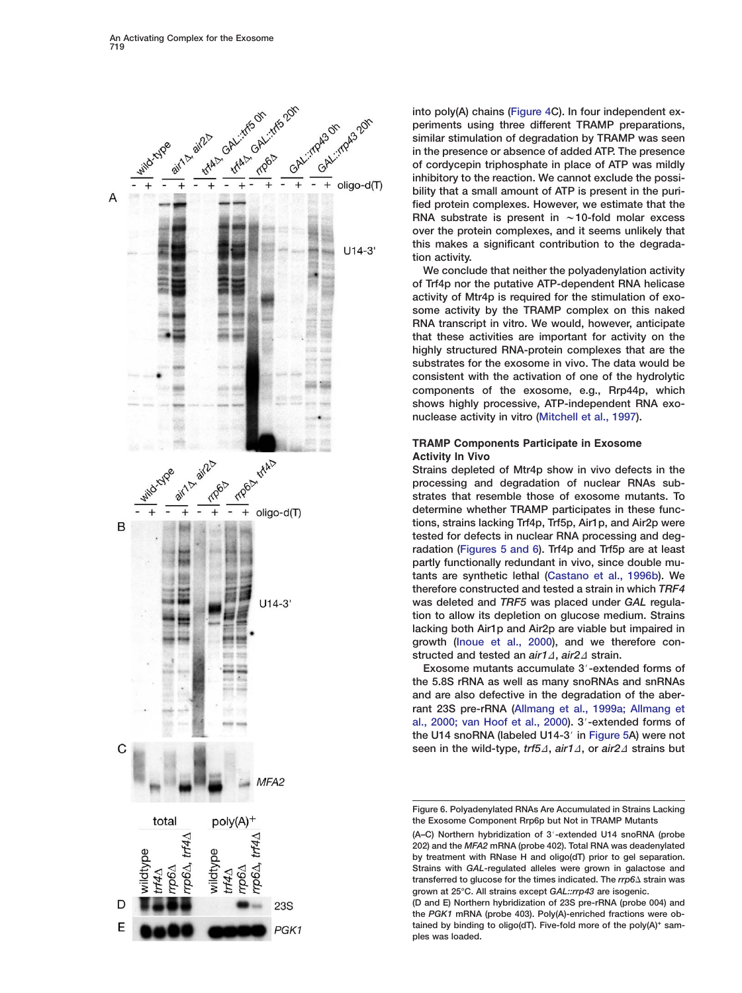<span id="page-6-0"></span>

**into poly(A) chains [\(Figure 4C](#page-5-0)). In four independent experiments using three different TRAMP preparations, similar stimulation of degradation by TRAMP was seen in the presence or absence of added ATP. The presence of cordycepin triphosphate in place of ATP was mildly inhibitory to the reaction. We cannot exclude the possibility that a small amount of ATP is present in the purified protein complexes. However, we estimate that the** RNA substrate is present in  $\sim$  10-fold molar excess **over the protein complexes, and it seems unlikely that this makes a significant contribution to the degradation activity.**

**We conclude that neither the polyadenylation activity of Trf4p nor the putative ATP-dependent RNA helicase activity of Mtr4p is required for the stimulation of exosome activity by the TRAMP complex on this naked RNA transcript in vitro. We would, however, anticipate that these activities are important for activity on the highly structured RNA-protein complexes that are the substrates for the exosome in vivo. The data would be consistent with the activation of one of the hydrolytic components of the exosome, e.g., Rrp44p, which shows highly processive, ATP-independent RNA exonuclease activity in vitro [\(Mitchell et al., 1997\)](#page-11-0).**

# **TRAMP Components Participate in Exosome Activity In Vivo**

**Strains depleted of Mtr4p show in vivo defects in the processing and degradation of nuclear RNAs substrates that resemble those of exosome mutants. To determine whether TRAMP participates in these functions, strains lacking Trf4p, Trf5p, Air1p, and Air2p were tested for defects in nuclear RNA processing and degradation [\(Figures 5 and 6\)](#page-5-0). Trf4p and Trf5p are at least partly functionally redundant in vivo, since double mutants are synthetic lethal [\(Castano et al., 1996b](#page-10-0)). We therefore constructed and tested a strain in which** *TRF4* **was deleted and** *TRF5* **was placed under** *GAL* **regulation to allow its depletion on glucose medium. Strains lacking both Air1p and Air2p are viable but impaired in growth [\(Inoue et al., 2000\)](#page-11-0), and we therefore con**structed and tested an *air1*∆, *air2*∆ strain.

**Exosome mutants accumulate 3'-extended forms of the 5.8S rRNA as well as many snoRNAs and snRNAs and are also defective in the degradation of the aberrant 23S pre-rRNA [\(Allmang et al., 1999a; Allmang et](#page-10-0) [al., 2000; van Hoof et al., 2000\)](#page-10-0). 3**#**-extended forms of the U14 snoRNA (labeled U14-3**# **in [Figure 5A](#page-5-0)) were not** seen in the wild-type, *trf5∆*, *air1∆*, or *air2∆* strains but

**Figure 6. Polyadenylated RNAs Are Accumulated in Strains Lacking the Exosome Component Rrp6p but Not in TRAMP Mutants**

**<sup>(</sup>A–C) Northern hybridization of 3**#**-extended U14 snoRNA (probe 202) and the** *MFA2* **mRNA (probe 402). Total RNA was deadenylated by treatment with RNase H and oligo(dT) prior to gel separation. Strains with** *GAL***-regulated alleles were grown in galactose and** transferred to glucose for the times indicated. The *rrp6∆* strain was **grown at 25°C. All strains except** *GAL::rrp43* **are isogenic.**

**<sup>(</sup>D and E) Northern hybridization of 23S pre-rRNA (probe 004) and the** *PGK1* **mRNA (probe 403). Poly(A)-enriched fractions were obtained by binding to oligo(dT). Five-fold more of the poly(A)+ samples was loaded.**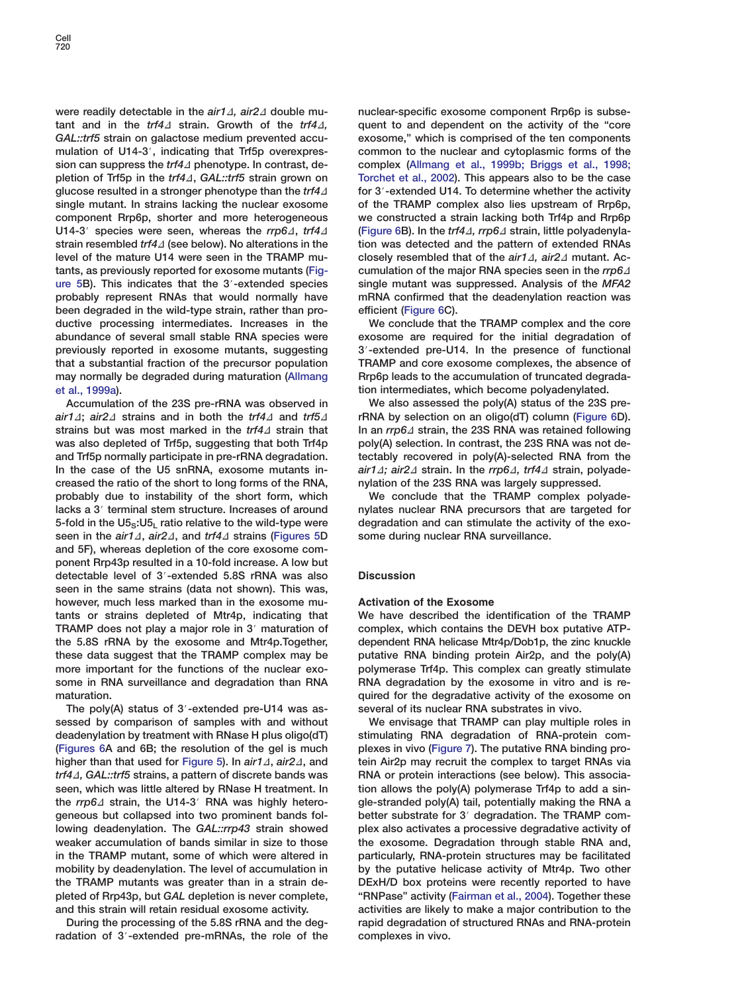were readily detectable in the *air14*, air24 double mu $t$  tant and in the *trf4* $\Delta$  strain. Growth of the *trf4* $\Delta$ , *GAL::trf5* **strain on galactose medium prevented accu**mulation of U14-3', indicating that Trf5p overexpression can suppress the *trf4* phenotype. In contrast, de**pletion of Trf5p in the** *trf4*D**,** *GAL::trf5* **strain grown on glucose resulted in a stronger phenotype than the** *trf4*D **single mutant. In strains lacking the nuclear exosome component Rrp6p, shorter and more heterogeneous U14-3 species were seen, whereas the** *rrp6***Δ,** *trf4***Δ strain resembled** *trf4*D **(see below). No alterations in the level of the mature U14 were seen in the TRAMP mutants, as previously reported for exosome mutants [\(Fig](#page-5-0)[ure 5B](#page-5-0)). This indicates that the 3**#**-extended species probably represent RNAs that would normally have been degraded in the wild-type strain, rather than productive processing intermediates. Increases in the abundance of several small stable RNA species were previously reported in exosome mutants, suggesting that a substantial fraction of the precursor population may normally be degraded during maturation [\(Allmang](#page-10-0) [et al., 1999a\)](#page-10-0).**

**Accumulation of the 23S pre-rRNA was observed in**  $air1\Delta$ ;  $air2\Delta$  strains and in both the *trf4* $\Delta$  and *trf5* $\Delta$ strains but was most marked in the *trf4* $\Delta$  strain that **was also depleted of Trf5p, suggesting that both Trf4p and Trf5p normally participate in pre-rRNA degradation. In the case of the U5 snRNA, exosome mutants increased the ratio of the short to long forms of the RNA, probably due to instability of the short form, which** lacks a 3<sup>'</sup> terminal stem structure. Increases of around **5-fold in the U5S:U5L ratio relative to the wild-type were** seen in the *air1∆*, *air2∆*, and *trf4∆* strains [\(Figures 5D](#page-5-0) **and 5F), whereas depletion of the core exosome component Rrp43p resulted in a 10-fold increase. A low but detectable level of 3**#**-extended 5.8S rRNA was also seen in the same strains (data not shown). This was, however, much less marked than in the exosome mutants or strains depleted of Mtr4p, indicating that TRAMP does not play a major role in 3**# **maturation of the 5.8S rRNA by the exosome and Mtr4p.Together, these data suggest that the TRAMP complex may be more important for the functions of the nuclear exosome in RNA surveillance and degradation than RNA maturation.**

The poly(A) status of 3'-extended pre-U14 was as**sessed by comparison of samples with and without deadenylation by treatment with RNase H plus oligo(dT) [\(Figures 6A](#page-6-0) and 6B; the resolution of the gel is much higher than that used for [Figure 5\)](#page-5-0). In** *air14***,** *air24***, and** *trf4*D*, GAL::trf5* **strains, a pattern of discrete bands was seen, which was little altered by RNase H treatment. In** the *rrp6∆* strain, the U14-3' RNA was highly hetero**geneous but collapsed into two prominent bands following deadenylation. The** *GAL::rrp43* **strain showed weaker accumulation of bands similar in size to those in the TRAMP mutant, some of which were altered in mobility by deadenylation. The level of accumulation in the TRAMP mutants was greater than in a strain depleted of Rrp43p, but** *GAL* **depletion is never complete, and this strain will retain residual exosome activity.**

**During the processing of the 5.8S rRNA and the deg**radation of 3'-extended pre-mRNAs, the role of the **nuclear-specific exosome component Rrp6p is subsequent to and dependent on the activity of the "core exosome," which is comprised of the ten components common to the nuclear and cytoplasmic forms of the complex [\(Allmang et al., 1999b; Briggs et al., 1998;](#page-10-0) [Torchet et al., 2002\)](#page-10-0). This appears also to be the case for 3**#**-extended U14. To determine whether the activity of the TRAMP complex also lies upstream of Rrp6p, we constructed a strain lacking both Trf4p and Rrp6p [\(Figure 6](#page-6-0)B).** In the *trf4∆, rrp6∆* strain, little polyadenyla**tion was detected and the pattern of extended RNAs closely resembled that of the** *air1∆***, air2∆ mutant. Ac**cumulation of the major RNA species seen in the *rrp6*<sup> $\Delta$ </sup> **single mutant was suppressed. Analysis of the** *MFA2* **mRNA confirmed that the deadenylation reaction was efficient [\(Figure 6C](#page-6-0)).**

**We conclude that the TRAMP complex and the core exosome are required for the initial degradation of 3**#**-extended pre-U14. In the presence of functional TRAMP and core exosome complexes, the absence of Rrp6p leads to the accumulation of truncated degradation intermediates, which become polyadenylated.**

**We also assessed the poly(A) status of the 23S prerRNA by selection on an oligo(dT) column [\(Figure 6D](#page-6-0)).** In an *rrp6∆* strain, the 23S RNA was retained following **poly(A) selection. In contrast, the 23S RNA was not detectably recovered in poly(A)-selected RNA from the**  $air1∆$ ; *air2∆* strain. In the *rrp6∆*, *trf4∆* strain, polyade**nylation of the 23S RNA was largely suppressed.**

**We conclude that the TRAMP complex polyadenylates nuclear RNA precursors that are targeted for degradation and can stimulate the activity of the exosome during nuclear RNA surveillance.**

## **Discussion**

## **Activation of the Exosome**

**We have described the identification of the TRAMP complex, which contains the DEVH box putative ATPdependent RNA helicase Mtr4p/Dob1p, the zinc knuckle putative RNA binding protein Air2p, and the poly(A) polymerase Trf4p. This complex can greatly stimulate RNA degradation by the exosome in vitro and is required for the degradative activity of the exosome on several of its nuclear RNA substrates in vivo.**

**We envisage that TRAMP can play multiple roles in stimulating RNA degradation of RNA-protein complexes in vivo [\(Figure 7\)](#page-8-0). The putative RNA binding protein Air2p may recruit the complex to target RNAs via RNA or protein interactions (see below). This association allows the poly(A) polymerase Trf4p to add a single-stranded poly(A) tail, potentially making the RNA a** better substrate for 3' degradation. The TRAMP com**plex also activates a processive degradative activity of the exosome. Degradation through stable RNA and, particularly, RNA-protein structures may be facilitated by the putative helicase activity of Mtr4p. Two other DExH/D box proteins were recently reported to have "RNPase" activity [\(Fairman et al., 2004\)](#page-11-0). Together these activities are likely to make a major contribution to the rapid degradation of structured RNAs and RNA-protein complexes in vivo.**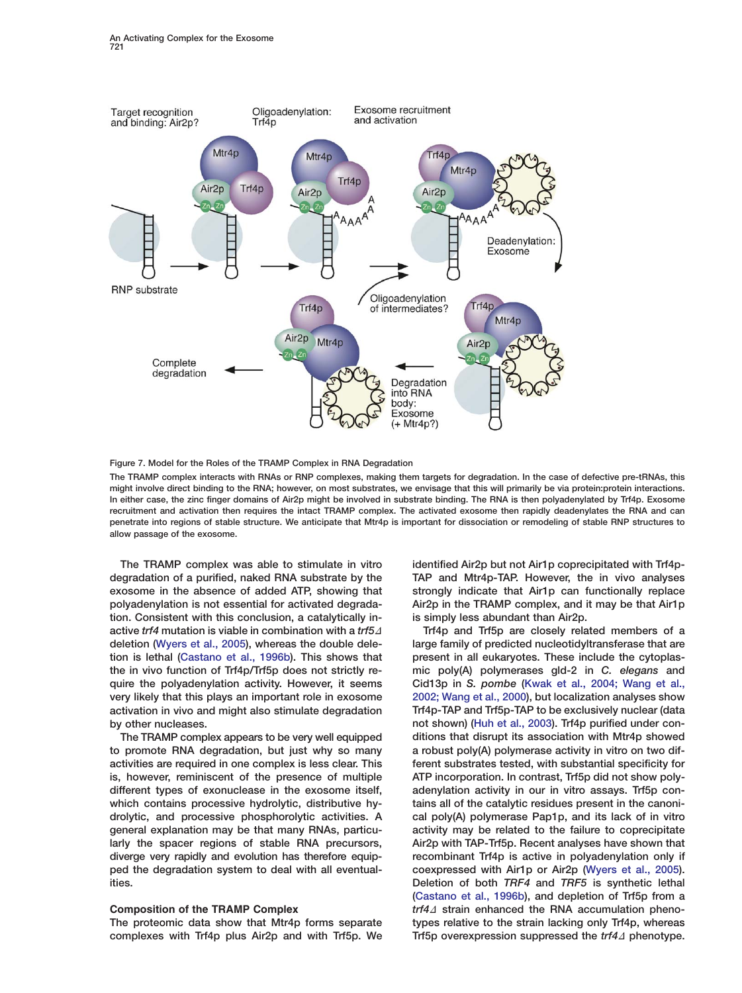<span id="page-8-0"></span>

**Figure 7. Model for the Roles of the TRAMP Complex in RNA Degradation**

**The TRAMP complex interacts with RNAs or RNP complexes, making them targets for degradation. In the case of defective pre-tRNAs, this might involve direct binding to the RNA; however, on most substrates, we envisage that this will primarily be via protein:protein interactions. In either case, the zinc finger domains of Air2p might be involved in substrate binding. The RNA is then polyadenylated by Trf4p. Exosome recruitment and activation then requires the intact TRAMP complex. The activated exosome then rapidly deadenylates the RNA and can penetrate into regions of stable structure. We anticipate that Mtr4p is important for dissociation or remodeling of stable RNP structures to allow passage of the exosome.**

**The TRAMP complex was able to stimulate in vitro degradation of a purified, naked RNA substrate by the exosome in the absence of added ATP, showing that polyadenylation is not essential for activated degradation. Consistent with this conclusion, a catalytically inactive** *trf4* mutation is viable in combination with a *trf5* $\varDelta$ **deletion [\(Wyers et al., 2005\)](#page-11-0), whereas the double deletion is lethal [\(Castano et al., 1996b\)](#page-10-0). This shows that the in vivo function of Trf4p/Trf5p does not strictly require the polyadenylation activity. However, it seems very likely that this plays an important role in exosome activation in vivo and might also stimulate degradation by other nucleases.**

**The TRAMP complex appears to be very well equipped to promote RNA degradation, but just why so many activities are required in one complex is less clear. This is, however, reminiscent of the presence of multiple different types of exonuclease in the exosome itself, which contains processive hydrolytic, distributive hydrolytic, and processive phosphorolytic activities. A general explanation may be that many RNAs, particularly the spacer regions of stable RNA precursors, diverge very rapidly and evolution has therefore equipped the degradation system to deal with all eventualities.**

## **Composition of the TRAMP Complex**

**The proteomic data show that Mtr4p forms separate complexes with Trf4p plus Air2p and with Trf5p. We** **identified Air2p but not Air1p coprecipitated with Trf4p-TAP and Mtr4p-TAP. However, the in vivo analyses strongly indicate that Air1p can functionally replace Air2p in the TRAMP complex, and it may be that Air1p is simply less abundant than Air2p.**

**Trf4p and Trf5p are closely related members of a large family of predicted nucleotidyltransferase that are present in all eukaryotes. These include the cytoplasmic poly(A) polymerases gld-2 in** *C. elegans* **and Cid13p in** *S. pombe* **[\(Kwak et al., 2004; Wang et al.,](#page-11-0) [2002; Wang et al., 2000\)](#page-11-0), but localization analyses show Trf4p-TAP and Trf5p-TAP to be exclusively nuclear (data not shown) [\(Huh et al., 2003\)](#page-11-0). Trf4p purified under conditions that disrupt its association with Mtr4p showed a robust poly(A) polymerase activity in vitro on two different substrates tested, with substantial specificity for ATP incorporation. In contrast, Trf5p did not show polyadenylation activity in our in vitro assays. Trf5p contains all of the catalytic residues present in the canonical poly(A) polymerase Pap1p, and its lack of in vitro activity may be related to the failure to coprecipitate Air2p with TAP-Trf5p. Recent analyses have shown that recombinant Trf4p is active in polyadenylation only if coexpressed with Air1p or Air2p [\(Wyers et al., 2005\)](#page-11-0). Deletion of both** *TRF4* **and** *TRF5* **is synthetic lethal [\(Castano et al., 1996b\)](#page-10-0), and depletion of Trf5p from a** trf4<sup>1</sup> strain enhanced the RNA accumulation pheno**types relative to the strain lacking only Trf4p, whereas Trf5p overexpression suppressed the** *trf4*D **phenotype.**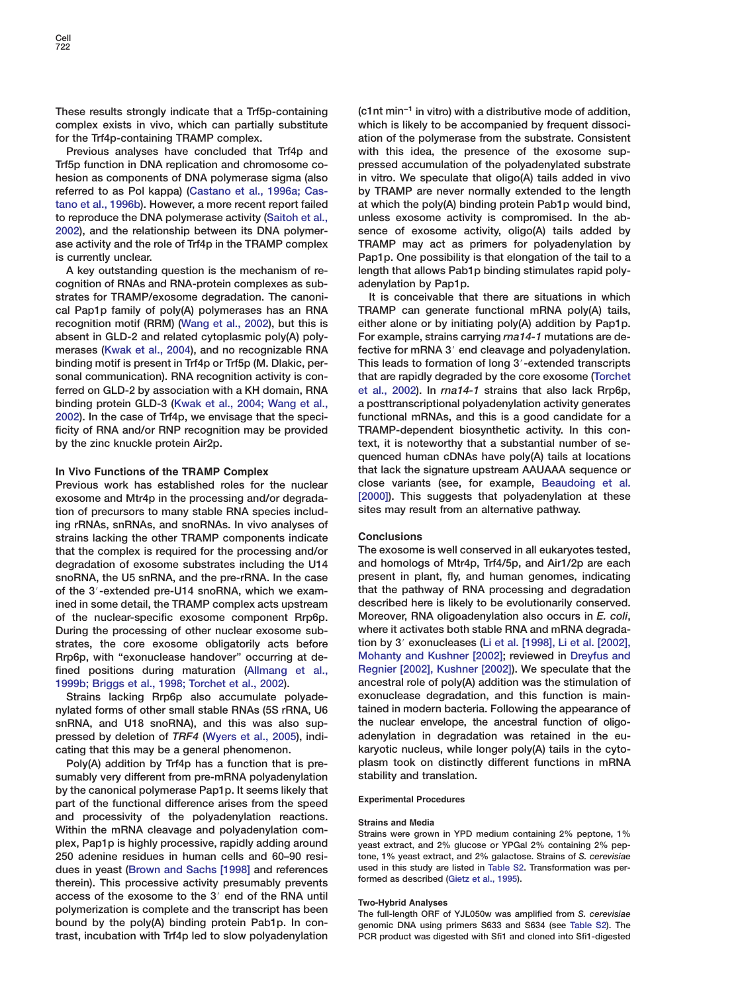**These results strongly indicate that a Trf5p-containing complex exists in vivo, which can partially substitute for the Trf4p-containing TRAMP complex.**

**Previous analyses have concluded that Trf4p and Trf5p function in DNA replication and chromosome cohesion as components of DNA polymerase sigma (also referred to as Pol kappa) [\(Castano et al., 1996a; Cas](#page-10-0)[tano et al., 1996b\)](#page-10-0). However, a more recent report failed to reproduce the DNA polymerase activity [\(Saitoh et al.,](#page-11-0) [2002\)](#page-11-0), and the relationship between its DNA polymerase activity and the role of Trf4p in the TRAMP complex is currently unclear.**

**A key outstanding question is the mechanism of recognition of RNAs and RNA-protein complexes as substrates for TRAMP/exosome degradation. The canonical Pap1p family of poly(A) polymerases has an RNA recognition motif (RRM) [\(Wang et al., 2002\)](#page-11-0), but this is absent in GLD-2 and related cytoplasmic poly(A) polymerases [\(Kwak et al., 2004](#page-11-0)), and no recognizable RNA binding motif is present in Trf4p or Trf5p (M. Dlakic, personal communication). RNA recognition activity is conferred on GLD-2 by association with a KH domain, RNA binding protein GLD-3 [\(Kwak et al., 2004; Wang et al.,](#page-11-0) [2002\)](#page-11-0). In the case of Trf4p, we envisage that the specificity of RNA and/or RNP recognition may be provided by the zinc knuckle protein Air2p.**

## **In Vivo Functions of the TRAMP Complex**

**Previous work has established roles for the nuclear exosome and Mtr4p in the processing and/or degradation of precursors to many stable RNA species including rRNAs, snRNAs, and snoRNAs. In vivo analyses of strains lacking the other TRAMP components indicate that the complex is required for the processing and/or degradation of exosome substrates including the U14 snoRNA, the U5 snRNA, and the pre-rRNA. In the case** of the 3'-extended pre-U14 snoRNA, which we exam**ined in some detail, the TRAMP complex acts upstream of the nuclear-specific exosome component Rrp6p. During the processing of other nuclear exosome substrates, the core exosome obligatorily acts before Rrp6p, with "exonuclease handover" occurring at defined positions during maturation [\(Allmang et al.,](#page-10-0) [1999b; Briggs et al., 1998; Torchet et al., 2002\)](#page-10-0).**

**Strains lacking Rrp6p also accumulate polyadenylated forms of other small stable RNAs (5S rRNA, U6 snRNA, and U18 snoRNA), and this was also suppressed by deletion of** *TRF4* **[\(Wyers et al., 2005\)](#page-11-0), indicating that this may be a general phenomenon.**

**Poly(A) addition by Trf4p has a function that is presumably very different from pre-mRNA polyadenylation by the canonical polymerase Pap1p. It seems likely that part of the functional difference arises from the speed and processivity of the polyadenylation reactions. Within the mRNA cleavage and polyadenylation complex, Pap1p is highly processive, rapidly adding around 250 adenine residues in human cells and 60–90 residues in yeast [\(Brown and Sachs \[1998\]](#page-10-0) and references therein). This processive activity presumably prevents access of the exosome to the 3**# **end of the RNA until polymerization is complete and the transcript has been bound by the poly(A) binding protein Pab1p. In contrast, incubation with Trf4p led to slow polyadenylation** **(c1nt min−1 in vitro) with a distributive mode of addition, which is likely to be accompanied by frequent dissociation of the polymerase from the substrate. Consistent with this idea, the presence of the exosome suppressed accumulation of the polyadenylated substrate in vitro. We speculate that oligo(A) tails added in vivo by TRAMP are never normally extended to the length at which the poly(A) binding protein Pab1p would bind, unless exosome activity is compromised. In the absence of exosome activity, oligo(A) tails added by TRAMP may act as primers for polyadenylation by Pap1p. One possibility is that elongation of the tail to a length that allows Pab1p binding stimulates rapid polyadenylation by Pap1p.**

**It is conceivable that there are situations in which TRAMP can generate functional mRNA poly(A) tails, either alone or by initiating poly(A) addition by Pap1p. For example, strains carrying** *rna14-1* **mutations are de**fective for mRNA 3' end cleavage and polyadenylation. **This leads to formation of long 3**#**-extended transcripts that are rapidly degraded by the core exosome [\(Torchet](#page-11-0) [et al., 2002](#page-11-0)). In** *rna14-1* **strains that also lack Rrp6p, a posttranscriptional polyadenylation activity generates functional mRNAs, and this is a good candidate for a TRAMP-dependent biosynthetic activity. In this context, it is noteworthy that a substantial number of sequenced human cDNAs have poly(A) tails at locations that lack the signature upstream AAUAAA sequence or close variants (see, for example, [Beaudoing et al.](#page-10-0) [\[2000\]](#page-10-0)). This suggests that polyadenylation at these sites may result from an alternative pathway.**

## **Conclusions**

**The exosome is well conserved in all eukaryotes tested, and homologs of Mtr4p, Trf4/5p, and Air1/2p are each present in plant, fly, and human genomes, indicating that the pathway of RNA processing and degradation described here is likely to be evolutionarily conserved. Moreover, RNA oligoadenylation also occurs in** *E. coli***, where it activates both stable RNA and mRNA degradation by 3**# **exonucleases [\(Li et al. \[1998\], Li et al. \[2002\],](#page-11-0) [Mohanty and Kushner \[2002\];](#page-11-0) reviewed in [Dreyfus and](#page-11-0) [Regnier \[2002\], Kushner \[2002\]\)](#page-11-0). We speculate that the ancestral role of poly(A) addition was the stimulation of exonuclease degradation, and this function is maintained in modern bacteria. Following the appearance of the nuclear envelope, the ancestral function of oligoadenylation in degradation was retained in the eukaryotic nucleus, while longer poly(A) tails in the cytoplasm took on distinctly different functions in mRNA stability and translation.**

### **Experimental Procedures**

#### **Strains and Media**

**Strains were grown in YPD medium containing 2% peptone, 1% yeast extract, and 2% glucose or YPGal 2% containing 2% peptone, 1% yeast extract, and 2% galactose. Strains of** *S. cerevisiae* **used in this study are listed in Table S2. Transformation was performed as described [\(Gietz et al., 1995\)](#page-11-0).**

### **Two-Hybrid Analyses**

**The full-length ORF of YJL050w was amplified from** *S. cerevisiae* **genomic DNA using primers S633 and S634 (see Table S2). The PCR product was digested with Sfi1 and cloned into Sfi1-digested**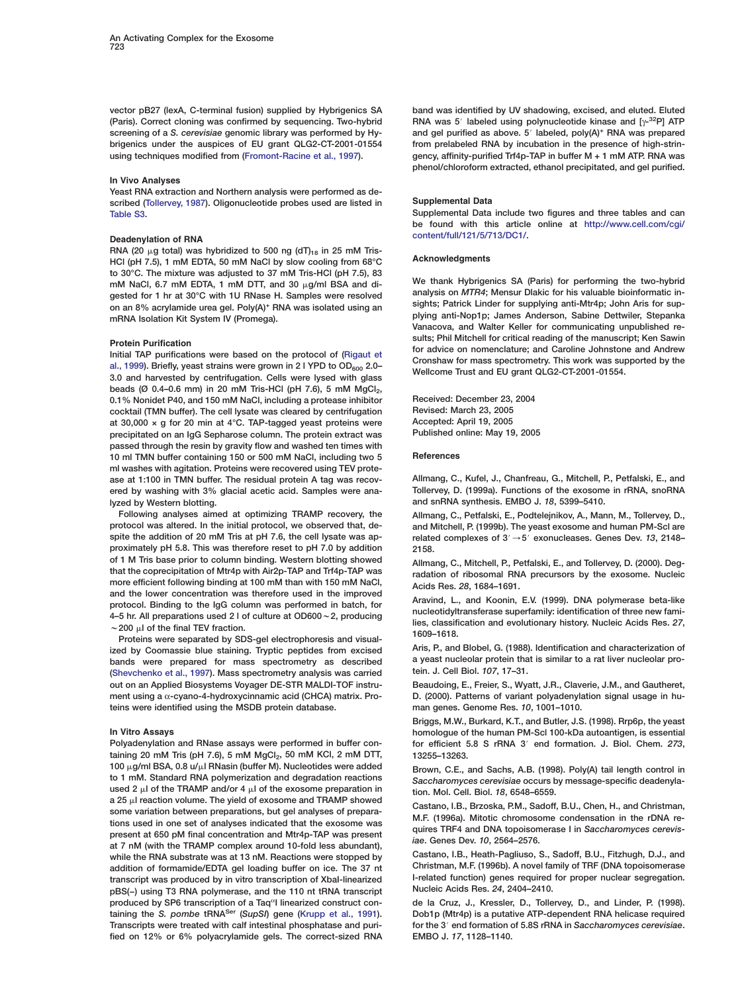<span id="page-10-0"></span>**vector pB27 (lexA, C-terminal fusion) supplied by Hybrigenics SA (Paris). Correct cloning was confirmed by sequencing. Two-hybrid screening of a** *S. cerevisiae* **genomic library was performed by Hybrigenics under the auspices of EU grant QLG2-CT-2001-01554 using techniques modified from [\(Fromont-Racine et al., 1997\)](#page-11-0).**

#### **In Vivo Analyses**

**Yeast RNA extraction and Northern analysis were performed as described [\(Tollervey, 1987](#page-11-0)). Oligonucleotide probes used are listed in Table S3.**

#### **Deadenylation of RNA**

RNA (20  $\mu$ g total) was hybridized to 500 ng (dT)<sub>18</sub> in 25 mM Tris-**HCl (pH 7.5), 1 mM EDTA, 50 mM NaCl by slow cooling from 68°C to 30°C. The mixture was adjusted to 37 mM Tris-HCl (pH 7.5), 83** mM NaCl, 6.7 mM EDTA, 1 mM DTT, and 30  $\mu$ g/ml BSA and di**gested for 1 hr at 30°C with 1U RNase H. Samples were resolved on an 8% acrylamide urea gel. Poly(A)<sup>+</sup> RNA was isolated using an mRNA Isolation Kit System IV (Promega).**

## **Protein Purification**

**Initial TAP purifications were based on the protocol of [\(Rigaut et](#page-11-0)** [al., 1999](#page-11-0)). Briefly, yeast strains were grown in 2 l YPD to OD<sub>600</sub> 2.0-**3.0 and harvested by centrifugation. Cells were lysed with glass** beads (Ø 0.4–0.6 mm) in 20 mM Tris-HCl (pH 7.6), 5 mM MgCl<sub>2</sub>, **0.1% Nonidet P40, and 150 mM NaCl, including a protease inhibitor cocktail (TMN buffer). The cell lysate was cleared by centrifugation at 30,000 × g for 20 min at 4°C. TAP-tagged yeast proteins were precipitated on an IgG Sepharose column. The protein extract was passed through the resin by gravity flow and washed ten times with 10 ml TMN buffer containing 150 or 500 mM NaCl, including two 5 ml washes with agitation. Proteins were recovered using TEV protease at 1:100 in TMN buffer. The residual protein A tag was recovered by washing with 3% glacial acetic acid. Samples were analyzed by Western blotting.**

**Following analyses aimed at optimizing TRAMP recovery, the protocol was altered. In the initial protocol, we observed that, despite the addition of 20 mM Tris at pH 7.6, the cell lysate was approximately pH 5.8. This was therefore reset to pH 7.0 by addition of 1 M Tris base prior to column binding. Western blotting showed that the coprecipitation of Mtr4p with Air2p-TAP and Trf4p-TAP was more efficient following binding at 100 mM than with 150 mM NaCl, and the lower concentration was therefore used in the improved protocol. Binding to the IgG column was performed in batch, for 4–5 hr. All preparations used 2 l of culture at OD600**w**2, producing**  $\sim$  200  $\mu$ I of the final TEV fraction.

**Proteins were separated by SDS-gel electrophoresis and visualized by Coomassie blue staining. Tryptic peptides from excised bands were prepared for mass spectrometry as described [\(Shevchenko et al., 1997\)](#page-11-0). Mass spectrometry analysis was carried out on an Applied Biosystems Voyager DE-STR MALDI-TOF instrument using a** α**-cyano-4-hydroxycinnamic acid (CHCA) matrix. Proteins were identified using the MSDB protein database.**

#### **In Vitro Assays**

**Polyadenylation and RNase assays were performed in buffer con**taining 20 mM Tris (pH 7.6), 5 mM MgCl<sub>2</sub>, 50 mM KCl, 2 mM DTT, **100 g/ml BSA, 0.8 u/l RNasin (buffer M). Nucleotides were added to 1 mM. Standard RNA polymerization and degradation reactions** used 2  $\mu$  of the TRAMP and/or 4  $\mu$  of the exosome preparation in a 25  $\mu$ I reaction volume. The yield of exosome and TRAMP showed **some variation between preparations, but gel analyses of preparations used in one set of analyses indicated that the exosome was present at 650 pM final concentration and Mtr4p-TAP was present at 7 nM (with the TRAMP complex around 10-fold less abundant), while the RNA substrate was at 13 nM. Reactions were stopped by addition of formamide/EDTA gel loading buffer on ice. The 37 nt transcript was produced by in vitro transcription of XbaI-linearized pBS(−) using T3 RNA polymerase, and the 110 nt tRNA transcript** produced by SP6 transcription of a Taq<sup>a</sup>I linearized construct con**taining the** *S. pombe* **tRNASer (***SupSI***) gene [\(Krupp et al., 1991\)](#page-11-0). Transcripts were treated with calf intestinal phosphatase and purified on 12% or 6% polyacrylamide gels. The correct-sized RNA** **band was identified by UV shadowing, excised, and eluted. Eluted RNA was 5**# **labeled using polynucleotide kinase and [**γ**-32P] ATP and gel purified as above. 5**# **labeled, poly(A)+ RNA was prepared from prelabeled RNA by incubation in the presence of high-stringency, affinity-purified Trf4p-TAP in buffer M + 1 mM ATP. RNA was phenol/chloroform extracted, ethanol precipitated, and gel purified.**

#### **Supplemental Data**

**Supplemental Data include two figures and three tables and can be found with this article online at [http://www.cell.com/cgi/](http://www.cell.com/cgi/content/full/121/5/713/DC1/) [content/full/121/5/713/DC1/.](http://www.cell.com/cgi/content/full/121/5/713/DC1/)**

#### **Acknowledgments**

**We thank Hybrigenics SA (Paris) for performing the two-hybrid analysis on** *MTR4***; Mensur Dlakic for his valuable bioinformatic insights; Patrick Linder for supplying anti-Mtr4p; John Aris for supplying anti-Nop1p; James Anderson, Sabine Dettwiler, Stepanka Vanacova, and Walter Keller for communicating unpublished results; Phil Mitchell for critical reading of the manuscript; Ken Sawin for advice on nomenclature; and Caroline Johnstone and Andrew Cronshaw for mass spectrometry. This work was supported by the Wellcome Trust and EU grant QLG2-CT-2001-01554.**

**Received: December 23, 2004 Revised: March 23, 2005 Accepted: April 19, 2005 Published online: May 19, 2005**

#### **References**

**Allmang, C., Kufel, J., Chanfreau, G., Mitchell, P., Petfalski, E., and Tollervey, D. (1999a). Functions of the exosome in rRNA, snoRNA and snRNA synthesis. EMBO J.** *18***, 5399–5410.**

**Allmang, C., Petfalski, E., Podtelejnikov, A., Mann, M., Tollervey, D., and Mitchell, P. (1999b). The yeast exosome and human PM-Scl are related complexes of 3**#/**5**# **exonucleases. Genes Dev.** *13***, 2148– 2158.**

**Allmang, C., Mitchell, P., Petfalski, E., and Tollervey, D. (2000). Degradation of ribosomal RNA precursors by the exosome. Nucleic Acids Res.** *28***, 1684–1691.**

**Aravind, L., and Koonin, E.V. (1999). DNA polymerase beta-like nucleotidyltransferase superfamily: identification of three new families, classification and evolutionary history. Nucleic Acids Res.** *27***, 1609–1618.**

**Aris, P., and Blobel, G. (1988). Identification and characterization of a yeast nucleolar protein that is similar to a rat liver nucleolar protein. J. Cell Biol.** *107***, 17–31.**

**Beaudoing, E., Freier, S., Wyatt, J.R., Claverie, J.M., and Gautheret, D. (2000). Patterns of variant polyadenylation signal usage in human genes. Genome Res.** *10***, 1001–1010.**

**Briggs, M.W., Burkard, K.T., and Butler, J.S. (1998). Rrp6p, the yeast homologue of the human PM-Scl 100-kDa autoantigen, is essential for efficient 5.8 S rRNA 3**# **end formation. J. Biol. Chem.** *273***, 13255–13263.**

**Brown, C.E., and Sachs, A.B. (1998). Poly(A) tail length control in** *Saccharomyces cerevisiae* **occurs by message-specific deadenylation. Mol. Cell. Biol.** *18***, 6548–6559.**

**Castano, I.B., Brzoska, P.M., Sadoff, B.U., Chen, H., and Christman, M.F. (1996a). Mitotic chromosome condensation in the rDNA requires TRF4 and DNA topoisomerase I in** *Saccharomyces cerevisiae***. Genes Dev.** *10***, 2564–2576.**

**Castano, I.B., Heath-Pagliuso, S., Sadoff, B.U., Fitzhugh, D.J., and Christman, M.F. (1996b). A novel family of TRF (DNA topoisomerase I-related function) genes required for proper nuclear segregation. Nucleic Acids Res.** *24***, 2404–2410.**

**de la Cruz, J., Kressler, D., Tollervey, D., and Linder, P. (1998). Dob1p (Mtr4p) is a putative ATP-dependent RNA helicase required for the 3**# **end formation of 5.8S rRNA in** *Saccharomyces cerevisiae***. EMBO J.** *17***, 1128–1140.**